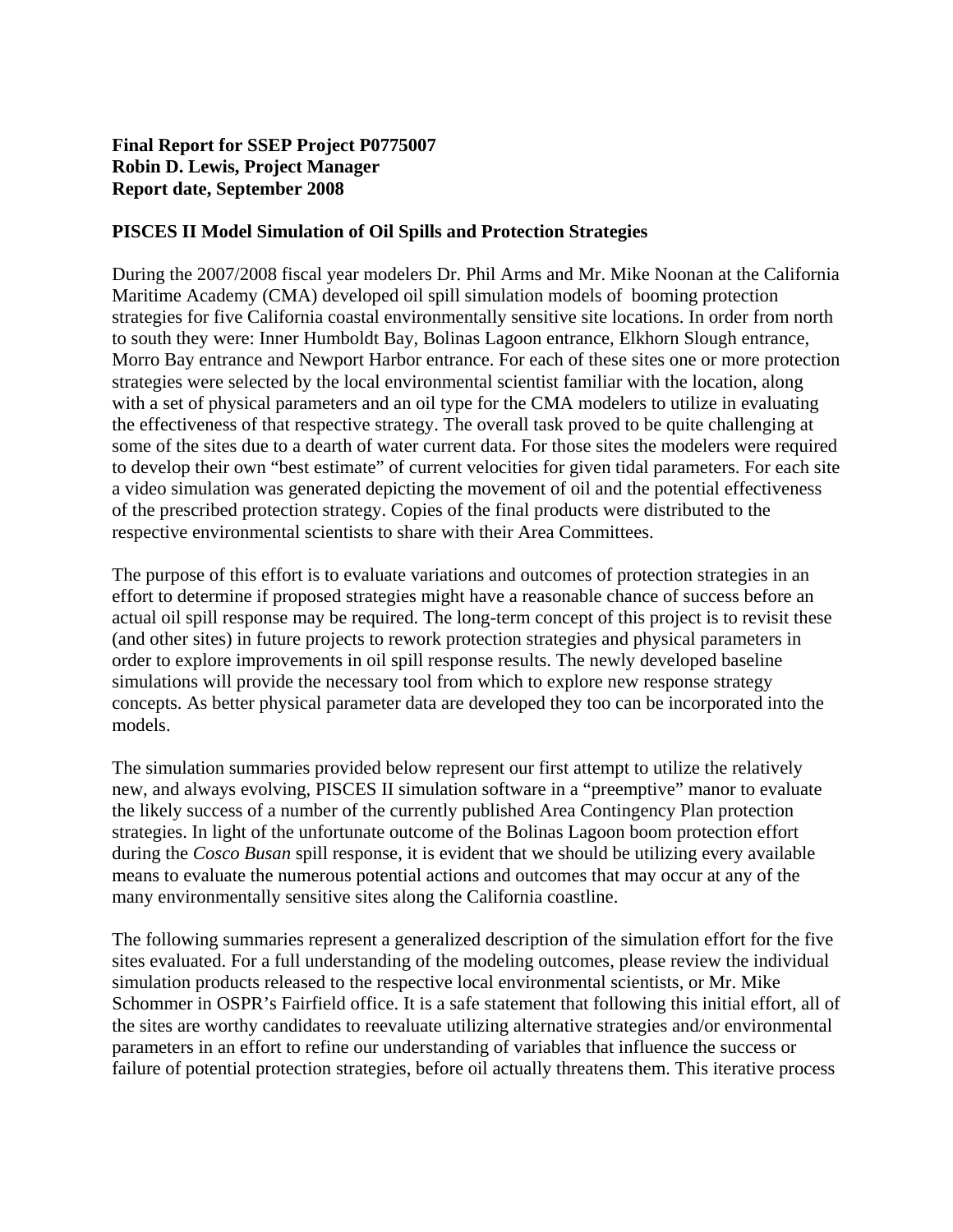# **Final Report for SSEP Project P0775007 Robin D. Lewis, Project Manager Report date, September 2008**

### **PISCES II Model Simulation of Oil Spills and Protection Strategies**

During the 2007/2008 fiscal year modelers Dr. Phil Arms and Mr. Mike Noonan at the California Maritime Academy (CMA) developed oil spill simulation models of booming protection strategies for five California coastal environmentally sensitive site locations. In order from north to south they were: Inner Humboldt Bay, Bolinas Lagoon entrance, Elkhorn Slough entrance, Morro Bay entrance and Newport Harbor entrance. For each of these sites one or more protection strategies were selected by the local environmental scientist familiar with the location, along with a set of physical parameters and an oil type for the CMA modelers to utilize in evaluating the effectiveness of that respective strategy. The overall task proved to be quite challenging at some of the sites due to a dearth of water current data. For those sites the modelers were required to develop their own "best estimate" of current velocities for given tidal parameters. For each site a video simulation was generated depicting the movement of oil and the potential effectiveness of the prescribed protection strategy. Copies of the final products were distributed to the respective environmental scientists to share with their Area Committees.

The purpose of this effort is to evaluate variations and outcomes of protection strategies in an effort to determine if proposed strategies might have a reasonable chance of success before an actual oil spill response may be required. The long-term concept of this project is to revisit these (and other sites) in future projects to rework protection strategies and physical parameters in order to explore improvements in oil spill response results. The newly developed baseline simulations will provide the necessary tool from which to explore new response strategy concepts. As better physical parameter data are developed they too can be incorporated into the models.

The simulation summaries provided below represent our first attempt to utilize the relatively new, and always evolving, PISCES II simulation software in a "preemptive" manor to evaluate the likely success of a number of the currently published Area Contingency Plan protection strategies. In light of the unfortunate outcome of the Bolinas Lagoon boom protection effort during the *Cosco Busan* spill response, it is evident that we should be utilizing every available means to evaluate the numerous potential actions and outcomes that may occur at any of the many environmentally sensitive sites along the California coastline.

The following summaries represent a generalized description of the simulation effort for the five sites evaluated. For a full understanding of the modeling outcomes, please review the individual simulation products released to the respective local environmental scientists, or Mr. Mike Schommer in OSPR's Fairfield office. It is a safe statement that following this initial effort, all of the sites are worthy candidates to reevaluate utilizing alternative strategies and/or environmental parameters in an effort to refine our understanding of variables that influence the success or failure of potential protection strategies, before oil actually threatens them. This iterative process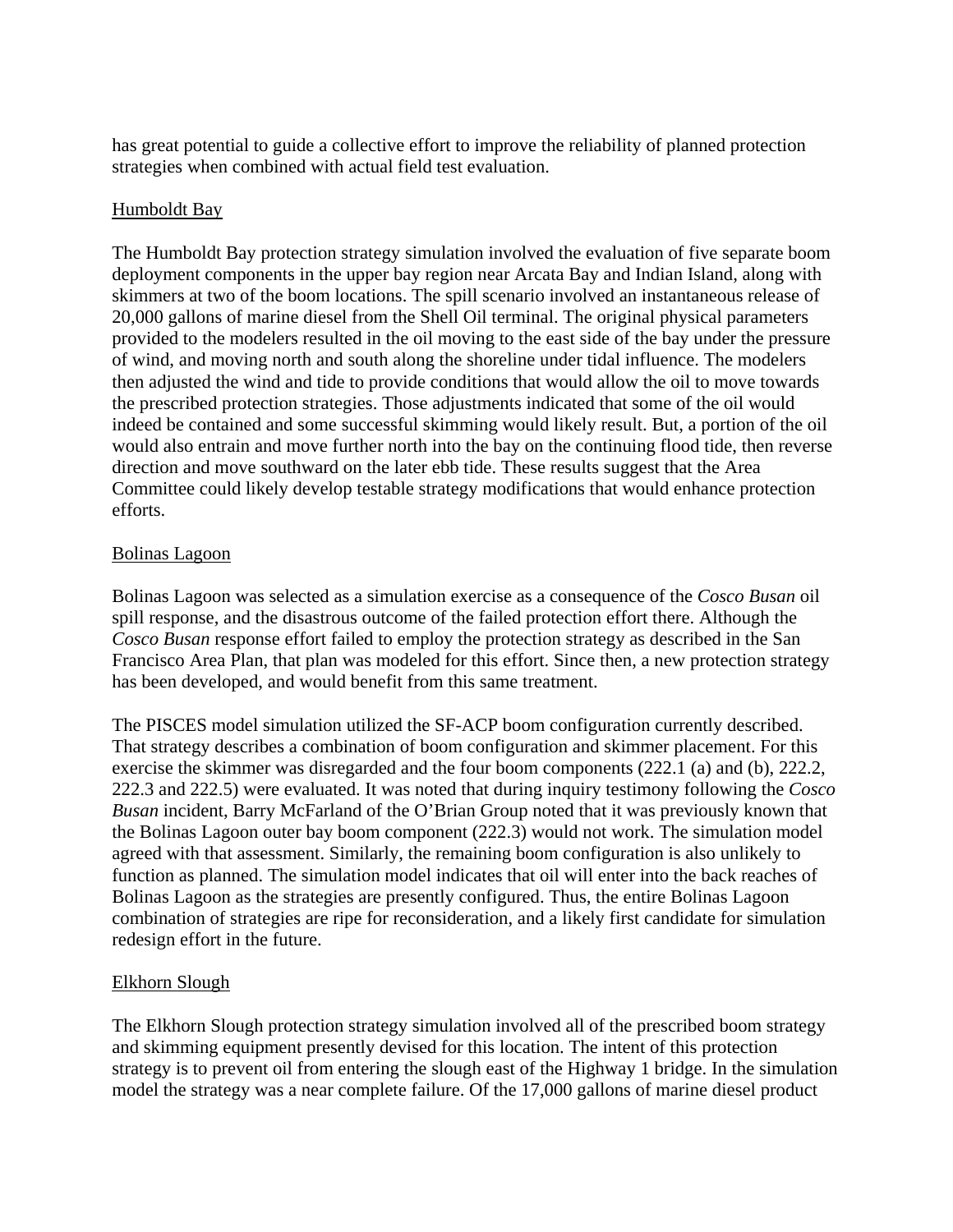has great potential to guide a collective effort to improve the reliability of planned protection strategies when combined with actual field test evaluation.

### Humboldt Bay

The Humboldt Bay protection strategy simulation involved the evaluation of five separate boom deployment components in the upper bay region near Arcata Bay and Indian Island, along with skimmers at two of the boom locations. The spill scenario involved an instantaneous release of 20,000 gallons of marine diesel from the Shell Oil terminal. The original physical parameters provided to the modelers resulted in the oil moving to the east side of the bay under the pressure of wind, and moving north and south along the shoreline under tidal influence. The modelers then adjusted the wind and tide to provide conditions that would allow the oil to move towards the prescribed protection strategies. Those adjustments indicated that some of the oil would indeed be contained and some successful skimming would likely result. But, a portion of the oil would also entrain and move further north into the bay on the continuing flood tide, then reverse direction and move southward on the later ebb tide. These results suggest that the Area Committee could likely develop testable strategy modifications that would enhance protection efforts.

#### Bolinas Lagoon

Bolinas Lagoon was selected as a simulation exercise as a consequence of the *Cosco Busan* oil spill response, and the disastrous outcome of the failed protection effort there. Although the *Cosco Busan* response effort failed to employ the protection strategy as described in the San Francisco Area Plan, that plan was modeled for this effort. Since then, a new protection strategy has been developed, and would benefit from this same treatment.

The PISCES model simulation utilized the SF-ACP boom configuration currently described. That strategy describes a combination of boom configuration and skimmer placement. For this exercise the skimmer was disregarded and the four boom components (222.1 (a) and (b), 222.2, 222.3 and 222.5) were evaluated. It was noted that during inquiry testimony following the *Cosco Busan* incident, Barry McFarland of the O'Brian Group noted that it was previously known that the Bolinas Lagoon outer bay boom component (222.3) would not work. The simulation model agreed with that assessment. Similarly, the remaining boom configuration is also unlikely to function as planned. The simulation model indicates that oil will enter into the back reaches of Bolinas Lagoon as the strategies are presently configured. Thus, the entire Bolinas Lagoon combination of strategies are ripe for reconsideration, and a likely first candidate for simulation redesign effort in the future.

### Elkhorn Slough

The Elkhorn Slough protection strategy simulation involved all of the prescribed boom strategy and skimming equipment presently devised for this location. The intent of this protection strategy is to prevent oil from entering the slough east of the Highway 1 bridge. In the simulation model the strategy was a near complete failure. Of the 17,000 gallons of marine diesel product